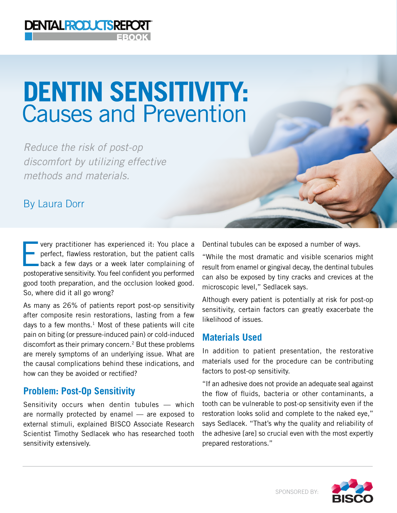# **DENTIN SENSITIVITY: Causes and Prevention**

*Reduce the risk of post-op discomfort by utilizing effective methods and materials.* 

**DENTALPRODUCTSREPORT** 

# By Laura Dorr

very practitioner has experienced it: You place a perfect, flawless restoration, but the patient calls back a few days or a week later complaining of perfect, flawless restoration, but the patient calls postoperative sensitivity. You feel confident you performed good tooth preparation, and the occlusion looked good. So, where did it all go wrong?

As many as 26% of patients report post-op sensitivity after composite resin restorations, lasting from a few days to a few months. $1$  Most of these patients will cite pain on biting (or pressure-induced pain) or cold-induced discomfort as their primary concern.<sup>2</sup> But these problems are merely symptoms of an underlying issue. What are the causal complications behind these indications, and how can they be avoided or rectified?

#### **Problem: Post-Op Sensitivity**

Sensitivity occurs when dentin tubules — which are normally protected by enamel — are exposed to external stimuli, explained BISCO Associate Research Scientist Timothy Sedlacek who has researched tooth sensitivity extensively.

Dentinal tubules can be exposed a number of ways.

"While the most dramatic and visible scenarios might result from enamel or gingival decay, the dentinal tubules can also be exposed by tiny cracks and crevices at the microscopic level," Sedlacek says.

Although every patient is potentially at risk for post-op sensitivity, certain factors can greatly exacerbate the likelihood of issues.

#### **Materials Used**

In addition to patient presentation, the restorative materials used for the procedure can be contributing factors to post-op sensitivity.

"If an adhesive does not provide an adequate seal against the flow of fluids, bacteria or other contaminants, a tooth can be vulnerable to post-op sensitivity even if the restoration looks solid and complete to the naked eye," says Sedlacek. "That's why the quality and reliability of the adhesive [are] so crucial even with the most expertly prepared restorations."

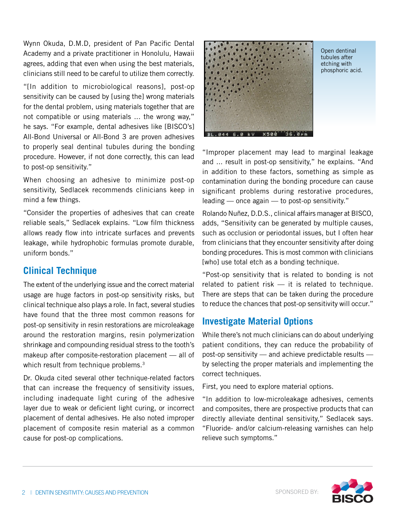Wynn Okuda, D.M.D, president of Pan Pacific Dental Academy and a private practitioner in Honolulu, Hawaii agrees, adding that even when using the best materials, clinicians still need to be careful to utilize them correctly.

"[In addition to microbiological reasons], post-op sensitivity can be caused by [using the] wrong materials for the dental problem, using materials together that are not compatible or using materials ... the wrong way," he says. "For example, dental adhesives like [BISCO's] All-Bond Universal or All-Bond 3 are proven adhesives to properly seal dentinal tubules during the bonding procedure. However, if not done correctly, this can lead to post-op sensitivity."

When choosing an adhesive to minimize post-op sensitivity, Sedlacek recommends clinicians keep in mind a few things.

"Consider the properties of adhesives that can create reliable seals," Sedlacek explains. "Low film thickness allows ready flow into intricate surfaces and prevents leakage, while hydrophobic formulas promote durable, uniform bonds."

#### **Clinical Technique**

The extent of the underlying issue and the correct material usage are huge factors in post-op sensitivity risks, but clinical technique also plays a role. In fact, several studies have found that the three most common reasons for post-op sensitivity in resin restorations are microleakage around the restoration margins, resin polymerization shrinkage and compounding residual stress to the tooth's makeup after composite-restoration placement — all of which result from technique problems.<sup>3</sup>

Dr. Okuda cited several other technique-related factors that can increase the frequency of sensitivity issues, including inadequate light curing of the adhesive layer due to weak or deficient light curing, or incorrect placement of dental adhesives. He also noted improper placement of composite resin material as a common cause for post-op complications.



Open dentinal tubules after etching with phosphoric acid.

"Improper placement may lead to marginal leakage and ... result in post-op sensitivity," he explains. "And in addition to these factors, something as simple as contamination during the bonding procedure can cause significant problems during restorative procedures, leading — once again — to post-op sensitivity."

Rolando Nuñez, D.D.S., clinical affairs manager at BISCO, adds, "Sensitivity can be generated by multiple causes, such as occlusion or periodontal issues, but I often hear from clinicians that they encounter sensitivity after doing bonding procedures. This is most common with clinicians [who] use total etch as a bonding technique.

"Post-op sensitivity that is related to bonding is not related to patient risk — it is related to technique. There are steps that can be taken during the procedure to reduce the chances that post-op sensitivity will occur."

## **Investigate Material Options**

While there's not much clinicians can do about underlying patient conditions, they can reduce the probability of post-op sensitivity — and achieve predictable results by selecting the proper materials and implementing the correct techniques.

First, you need to explore material options.

"In addition to low-microleakage adhesives, cements and composites, there are prospective products that can directly alleviate dentinal sensitivity," Sedlacek says. "Fluoride- and/or calcium-releasing varnishes can help relieve such symptoms."

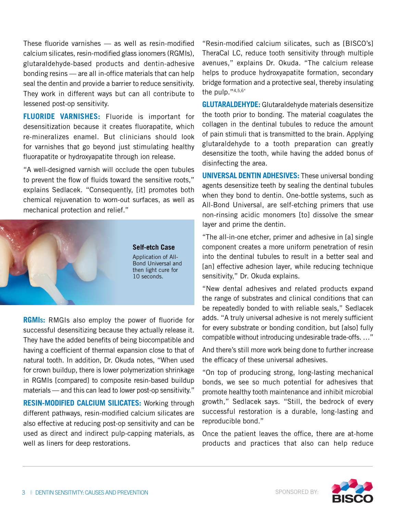These fluoride varnishes — as well as resin-modified calcium silicates, resin-modified glass ionomers (RGMIs), glutaraldehyde-based products and dentin-adhesive bonding resins — are all in-office materials that can help seal the dentin and provide a barrier to reduce sensitivity. They work in different ways but can all contribute to lessened post-op sensitivity.

**FLUORIDE VARNISHES:** Fluoride is important for desensitization because it creates fluorapatite, which re-mineralizes enamel. But clinicians should look for varnishes that go beyond just stimulating healthy fluorapatite or hydroxyapatite through ion release.

"A well-designed varnish will occlude the open tubules to prevent the flow of fluids toward the sensitive roots," explains Sedlacek. "Consequently, [it] promotes both chemical rejuvenation to worn-out surfaces, as well as mechanical protection and relief."



**RGMIs:** RMGIs also employ the power of fluoride for successful desensitizing because they actually release it. They have the added benefits of being biocompatible and having a coefficient of thermal expansion close to that of natural tooth. In addition, Dr. Okuda notes, "When used for crown buildup, there is lower polymerization shrinkage in RGMIs [compared] to composite resin-based buildup materials — and this can lead to lower post-op sensitivity."

**RESIN-MODIFIED CALCIUM SILICATES:** Working through different pathways, resin-modified calcium silicates are also effective at reducing post-op sensitivity and can be used as direct and indirect pulp-capping materials, as well as liners for deep restorations.

"Resin-modified calcium silicates, such as [BISCO's] TheraCal LC, reduce tooth sensitivity through multiple avenues," explains Dr. Okuda. "The calcium release helps to produce hydroxyapatite formation, secondary bridge formation and a protective seal, thereby insulating the pulp."4,5,6\*

**GLUTARALDEHYDE:** Glutaraldehyde materials desensitize the tooth prior to bonding. The material coagulates the collagen in the dentinal tubules to reduce the amount of pain stimuli that is transmitted to the brain. Applying glutaraldehyde to a tooth preparation can greatly desensitize the tooth, while having the added bonus of disinfecting the area.

**UNIVERSAL DENTIN ADHESIVES:** These universal bonding agents desensitize teeth by sealing the dentinal tubules when they bond to dentin. One-bottle systems, such as All-Bond Universal, are self-etching primers that use non-rinsing acidic monomers [to] dissolve the smear layer and prime the dentin.

"The all-in-one etcher, primer and adhesive in [a] single component creates a more uniform penetration of resin into the dentinal tubules to result in a better seal and [an] effective adhesion layer, while reducing technique sensitivity," Dr. Okuda explains.

"New dental adhesives and related products expand the range of substrates and clinical conditions that can be repeatedly bonded to with reliable seals," Sedlacek adds. "A truly universal adhesive is not merely sufficient for every substrate or bonding condition, but [also] fully compatible without introducing undesirable trade-offs. …"

And there's still more work being done to further increase the efficacy of these universal adhesives.

"On top of producing strong, long-lasting mechanical bonds, we see so much potential for adhesives that promote healthy tooth maintenance and inhibit microbial growth," Sedlacek says. "Still, the bedrock of every successful restoration is a durable, long-lasting and reproducible bond."

Once the patient leaves the office, there are at-home products and practices that also can help reduce

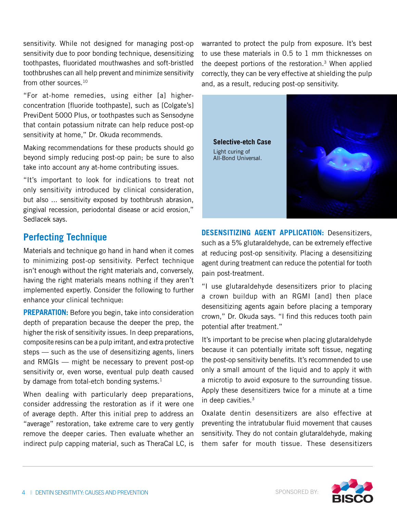sensitivity. While not designed for managing post-op sensitivity due to poor bonding technique, desensitizing toothpastes, fluoridated mouthwashes and soft-bristled toothbrushes can all help prevent and minimize sensitivity from other sources.<sup>10</sup>

"For at-home remedies, using either [a] higherconcentration [fluoride toothpaste], such as [Colgate's] PreviDent 5000 Plus, or toothpastes such as Sensodyne that contain potassium nitrate can help reduce post-op sensitivity at home," Dr. Okuda recommends.

Making recommendations for these products should go beyond simply reducing post-op pain; be sure to also take into account any at-home contributing issues.

"It's important to look for indications to treat not only sensitivity introduced by clinical consideration, but also ... sensitivity exposed by toothbrush abrasion, gingival recession, periodontal disease or acid erosion," Sedlacek says.

### **Perfecting Technique**

Materials and technique go hand in hand when it comes to minimizing post-op sensitivity. Perfect technique isn't enough without the right materials and, conversely, having the right materials means nothing if they aren't implemented expertly. Consider the following to further enhance your clinical technique:

**PREPARATION:** Before you begin, take into consideration depth of preparation because the deeper the prep, the higher the risk of sensitivity issues. In deep preparations, composite resins can be a pulp irritant, and extra protective steps — such as the use of desensitizing agents, liners and RMGIs — might be necessary to prevent post-op sensitivity or, even worse, eventual pulp death caused by damage from total-etch bonding systems. $<sup>1</sup>$ </sup>

When dealing with particularly deep preparations, consider addressing the restoration as if it were one of average depth. After this initial prep to address an "average" restoration, take extreme care to very gently remove the deeper caries. Then evaluate whether an indirect pulp capping material, such as TheraCal LC, is

warranted to protect the pulp from exposure. It's best to use these materials in 0.5 to 1 mm thicknesses on the deepest portions of the restoration.3 When applied correctly, they can be very effective at shielding the pulp and, as a result, reducing post-op sensitivity.



**DESENSITIZING AGENT APPLICATION:** Desensitizers, such as a 5% glutaraldehyde, can be extremely effective at reducing post-op sensitivity. Placing a desensitizing agent during treatment can reduce the potential for tooth pain post-treatment.

"I use glutaraldehyde desensitizers prior to placing a crown buildup with an RGMI [and] then place desensitizing agents again before placing a temporary crown," Dr. Okuda says. "I find this reduces tooth pain potential after treatment."

It's important to be precise when placing glutaraldehyde because it can potentially irritate soft tissue, negating the post-op sensitivity benefits. It's recommended to use only a small amount of the liquid and to apply it with a microtip to avoid exposure to the surrounding tissue. Apply these desensitizers twice for a minute at a time in deep cavities.3

Oxalate dentin desensitizers are also effective at preventing the intratubular fluid movement that causes sensitivity. They do not contain glutaraldehyde, making them safer for mouth tissue. These desensitizers

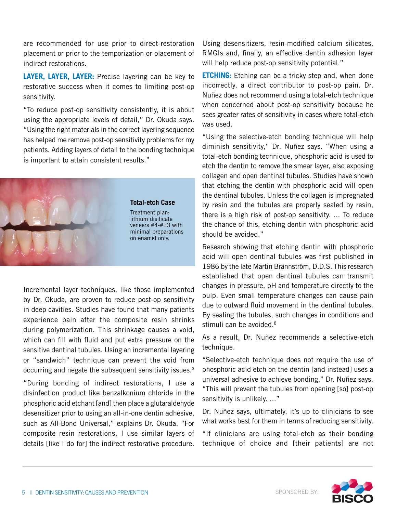are recommended for use prior to direct-restoration placement or prior to the temporization or placement of indirect restorations.

**LAYER, LAYER, LAYER:** Precise layering can be key to restorative success when it comes to limiting post-op sensitivity.

"To reduce post-op sensitivity consistently, it is about using the appropriate levels of detail," Dr. Okuda says. "Using the right materials in the correct layering sequence has helped me remove post-op sensitivity problems for my patients. Adding layers of detail to the bonding technique is important to attain consistent results."



Incremental layer techniques, like those implemented by Dr. Okuda, are proven to reduce post-op sensitivity in deep cavities. Studies have found that many patients experience pain after the composite resin shrinks during polymerization. This shrinkage causes a void, which can fill with fluid and put extra pressure on the sensitive dentinal tubules. Using an incremental layering or "sandwich" technique can prevent the void from occurring and negate the subsequent sensitivity issues.3

"During bonding of indirect restorations, I use a disinfection product like benzalkonium chloride in the phosphoric acid etchant [and] then place a glutaraldehyde desensitizer prior to using an all-in-one dentin adhesive, such as All-Bond Universal," explains Dr. Okuda. "For composite resin restorations, I use similar layers of details [like I do for] the indirect restorative procedure. Using desensitizers, resin-modified calcium silicates, RMGIs and, finally, an effective dentin adhesion layer will help reduce post-op sensitivity potential."

**ETCHING:** Etching can be a tricky step and, when done incorrectly, a direct contributor to post-op pain. Dr. Nuñez does not recommend using a total-etch technique when concerned about post-op sensitivity because he sees greater rates of sensitivity in cases where total-etch was used.

"Using the selective-etch bonding technique will help diminish sensitivity," Dr. Nuñez says. "When using a total-etch bonding technique, phosphoric acid is used to etch the dentin to remove the smear layer, also exposing collagen and open dentinal tubules. Studies have shown that etching the dentin with phosphoric acid will open the dentinal tubules. Unless the collagen is impregnated by resin and the tubules are properly sealed by resin, there is a high risk of post-op sensitivity. ... To reduce the chance of this, etching dentin with phosphoric acid should be avoided."

Research showing that etching dentin with phosphoric acid will open dentinal tubules was first published in 1986 by the late Martin Brännström, D.D.S. This research established that open dentinal tubules can transmit changes in pressure, pH and temperature directly to the pulp. Even small temperature changes can cause pain due to outward fluid movement in the dentinal tubules. By sealing the tubules, such changes in conditions and stimuli can be avoided.<sup>8</sup>

As a result, Dr. Nuñez recommends a selective-etch technique.

"Selective-etch technique does not require the use of phosphoric acid etch on the dentin [and instead] uses a universal adhesive to achieve bonding," Dr. Nuñez says. "This will prevent the tubules from opening [so] post-op sensitivity is unlikely. ..."

Dr. Nuñez says, ultimately, it's up to clinicians to see what works best for them in terms of reducing sensitivity.

"If clinicians are using total-etch as their bonding technique of choice and [their patients] are not